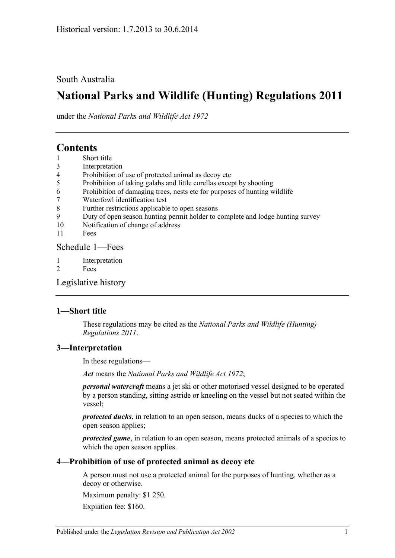South Australia

# **National Parks and Wildlife (Hunting) Regulations 2011**

under the *National Parks and Wildlife Act 1972*

# **Contents**

- 1 [Short title](#page-0-0)
- 3 [Interpretation](#page-0-1)
- 4 [Prohibition of use of protected animal as decoy etc](#page-0-2)
- 5 [Prohibition of taking galahs and little corellas except by shooting](#page-1-0)
- 6 [Prohibition of damaging trees, nests etc for purposes of hunting wildlife](#page-1-1)
- 7 [Waterfowl identification test](#page-1-2)
- 8 [Further restrictions applicable to open seasons](#page-1-3)
- 9 [Duty of open season hunting permit holder to complete and lodge hunting survey](#page-2-0)
- 10 [Notification of change of address](#page-2-1)
- 11 [Fees](#page-2-2)

[Schedule](#page-3-0) 1—Fees

- 1 [Interpretation](#page-3-1)
- 2 [Fees](#page-3-2)

[Legislative history](#page-4-0)

## <span id="page-0-0"></span>**1—Short title**

These regulations may be cited as the *National Parks and Wildlife (Hunting) Regulations 2011*.

## <span id="page-0-1"></span>**3—Interpretation**

In these regulations—

*Act* means the *[National Parks and Wildlife Act](http://www.legislation.sa.gov.au/index.aspx?action=legref&type=act&legtitle=National%20Parks%20and%20Wildlife%20Act%201972) 1972*;

*personal watercraft* means a jet ski or other motorised vessel designed to be operated by a person standing, sitting astride or kneeling on the vessel but not seated within the vessel;

*protected ducks*, in relation to an open season, means ducks of a species to which the open season applies;

*protected game*, in relation to an open season, means protected animals of a species to which the open season applies.

#### <span id="page-0-2"></span>**4—Prohibition of use of protected animal as decoy etc**

A person must not use a protected animal for the purposes of hunting, whether as a decoy or otherwise.

Maximum penalty: \$1 250.

Expiation fee: \$160.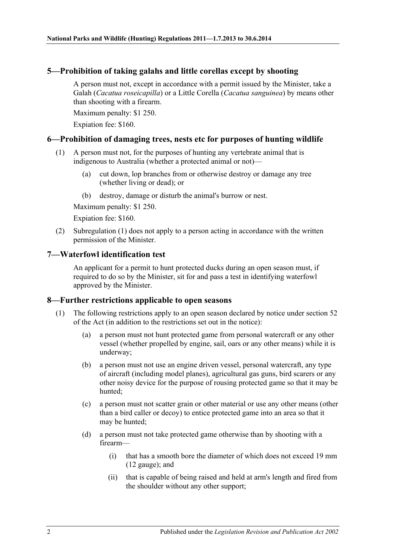# <span id="page-1-0"></span>**5—Prohibition of taking galahs and little corellas except by shooting**

A person must not, except in accordance with a permit issued by the Minister, take a Galah (*Cacatua roseicapilla*) or a Little Corella (*Cacatua sanguinea*) by means other than shooting with a firearm.

Maximum penalty: \$1 250.

Expiation fee: \$160.

## <span id="page-1-4"></span><span id="page-1-1"></span>**6—Prohibition of damaging trees, nests etc for purposes of hunting wildlife**

- (1) A person must not, for the purposes of hunting any vertebrate animal that is indigenous to Australia (whether a protected animal or not)—
	- (a) cut down, lop branches from or otherwise destroy or damage any tree (whether living or dead); or
	- (b) destroy, damage or disturb the animal's burrow or nest.

Maximum penalty: \$1 250.

Expiation fee: \$160.

(2) [Subregulation](#page-1-4) (1) does not apply to a person acting in accordance with the written permission of the Minister.

## <span id="page-1-2"></span>**7—Waterfowl identification test**

An applicant for a permit to hunt protected ducks during an open season must, if required to do so by the Minister, sit for and pass a test in identifying waterfowl approved by the Minister.

## <span id="page-1-6"></span><span id="page-1-3"></span>**8—Further restrictions applicable to open seasons**

- <span id="page-1-5"></span>(1) The following restrictions apply to an open season declared by notice under section 52 of the Act (in addition to the restrictions set out in the notice):
	- (a) a person must not hunt protected game from personal watercraft or any other vessel (whether propelled by engine, sail, oars or any other means) while it is underway;
	- (b) a person must not use an engine driven vessel, personal watercraft, any type of aircraft (including model planes), agricultural gas guns, bird scarers or any other noisy device for the purpose of rousing protected game so that it may be hunted;
	- (c) a person must not scatter grain or other material or use any other means (other than a bird caller or decoy) to entice protected game into an area so that it may be hunted;
	- (d) a person must not take protected game otherwise than by shooting with a firearm—
		- (i) that has a smooth bore the diameter of which does not exceed 19 mm (12 gauge); and
		- (ii) that is capable of being raised and held at arm's length and fired from the shoulder without any other support;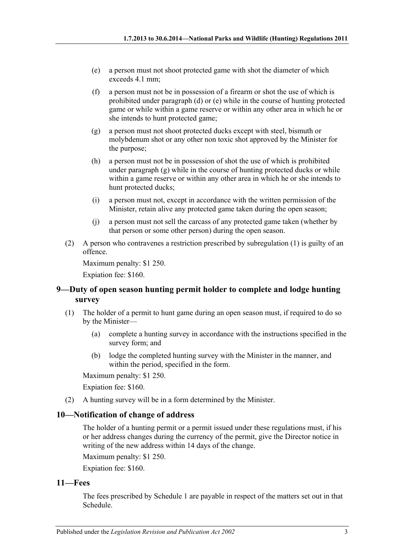- <span id="page-2-3"></span>(e) a person must not shoot protected game with shot the diameter of which exceeds 4.1 mm;
- (f) a person must not be in possession of a firearm or shot the use of which is prohibited under [paragraph](#page-1-5) (d) or [\(e\)](#page-2-3) while in the course of hunting protected game or while within a game reserve or within any other area in which he or she intends to hunt protected game;
- <span id="page-2-4"></span>(g) a person must not shoot protected ducks except with steel, bismuth or molybdenum shot or any other non toxic shot approved by the Minister for the purpose;
- (h) a person must not be in possession of shot the use of which is prohibited under [paragraph](#page-2-4)  $(g)$  while in the course of hunting protected ducks or while within a game reserve or within any other area in which he or she intends to hunt protected ducks;
- (i) a person must not, except in accordance with the written permission of the Minister, retain alive any protected game taken during the open season;
- (j) a person must not sell the carcass of any protected game taken (whether by that person or some other person) during the open season.
- (2) A person who contravenes a restriction prescribed by [subregulation](#page-1-6) (1) is guilty of an offence.

Maximum penalty: \$1 250.

Expiation fee: \$160.

## <span id="page-2-0"></span>**9—Duty of open season hunting permit holder to complete and lodge hunting survey**

- (1) The holder of a permit to hunt game during an open season must, if required to do so by the Minister—
	- (a) complete a hunting survey in accordance with the instructions specified in the survey form; and
	- (b) lodge the completed hunting survey with the Minister in the manner, and within the period, specified in the form.

Maximum penalty: \$1 250.

Expiation fee: \$160.

(2) A hunting survey will be in a form determined by the Minister.

## <span id="page-2-1"></span>**10—Notification of change of address**

The holder of a hunting permit or a permit issued under these regulations must, if his or her address changes during the currency of the permit, give the Director notice in writing of the new address within 14 days of the change.

Maximum penalty: \$1 250.

Expiation fee: \$160.

#### <span id="page-2-2"></span>**11—Fees**

The fees prescribed by [Schedule](#page-3-0) 1 are payable in respect of the matters set out in that Schedule.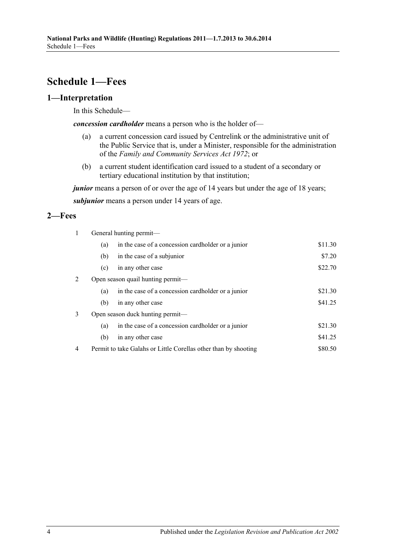# <span id="page-3-0"></span>**Schedule 1—Fees**

# <span id="page-3-1"></span>**1—Interpretation**

In this Schedule—

*concession cardholder* means a person who is the holder of—

- (a) a current concession card issued by Centrelink or the administrative unit of the Public Service that is, under a Minister, responsible for the administration of the *[Family and Community Services Act](http://www.legislation.sa.gov.au/index.aspx?action=legref&type=act&legtitle=Family%20and%20Community%20Services%20Act%201972) 1972*; or
- (b) a current student identification card issued to a student of a secondary or tertiary educational institution by that institution;

*junior* means a person of or over the age of 14 years but under the age of 18 years; *subjunior* means a person under 14 years of age.

## <span id="page-3-2"></span>**2—Fees**

| $\mathbf{1}$ | General hunting permit- |                                                                 |         |  |
|--------------|-------------------------|-----------------------------------------------------------------|---------|--|
|              | (a)                     | in the case of a concession cardholder or a junior              | \$11.30 |  |
|              | (b)                     | in the case of a subjunior                                      | \$7.20  |  |
|              | (c)                     | in any other case                                               | \$22.70 |  |
| 2            |                         | Open season quail hunting permit-                               |         |  |
|              | (a)                     | in the case of a concession cardholder or a junior              | \$21.30 |  |
|              | (b)                     | in any other case                                               | \$41.25 |  |
| 3            |                         | Open season duck hunting permit—                                |         |  |
|              | (a)                     | in the case of a concession cardholder or a junior              | \$21.30 |  |
|              | (b)                     | in any other case                                               | \$41.25 |  |
| 4            |                         | Permit to take Galahs or Little Corellas other than by shooting | \$80.50 |  |